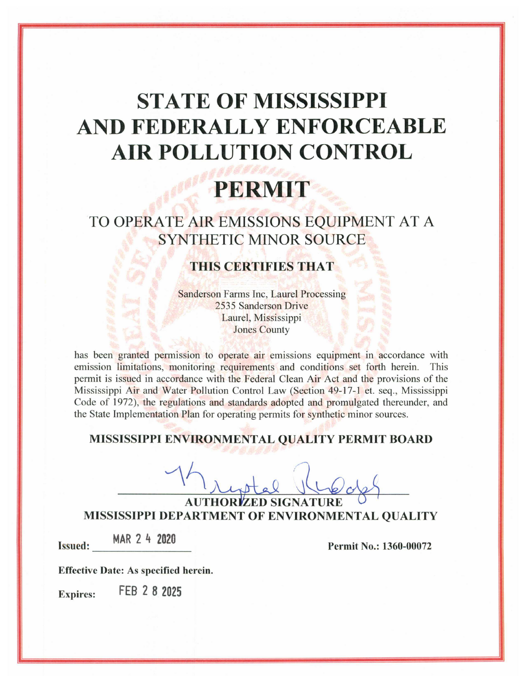# **STATE OF MISSISSIPPI** AND FEDERALLY ENFORCEABLE **AIR POLLUTION CONTROL**

# PERMIT

TO OPERATE AIR EMISSIONS EQUIPMENT AT A **SYNTHETIC MINOR SOURCE** 

# **THIS CERTIFIES THAT**

**Sanderson Farms Inc, Laurel Processing** 2535 Sanderson Drive Laurel, Mississippi **Jones County** 

has been granted permission to operate air emissions equipment in accordance with emission limitations, monitoring requirements and conditions set forth herein. This permit is issued in accordance with the Federal Clean Air Act and the provisions of the Mississippi Air and Water Pollution Control Law (Section 49-17-1 et. seg., Mississippi Code of 1972), the regulations and standards adopted and promulgated thereunder, and the State Implementation Plan for operating permits for synthetic minor sources.

# MISSISSIPPI ENVIRONMENTAL QUALITY PERMIT BOARD

**AUTHOR** MISSISSIPPI DEPARTMENT OF ENVIRONMENTAL QUALITY

MAR 2 4 2020 **Issued:** 

Permit No.: 1360-00072

**Effective Date: As specified herein.** 

FEB 2 8 2025 **Expires:**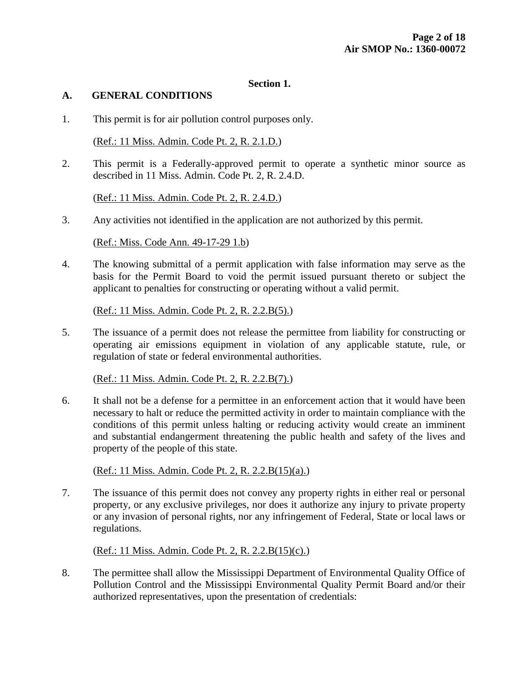#### **Section 1.**

#### **A. GENERAL CONDITIONS**

1. This permit is for air pollution control purposes only.

(Ref.: 11 Miss. Admin. Code Pt. 2, R. 2.1.D.)

2. This permit is a Federally-approved permit to operate a synthetic minor source as described in 11 Miss. Admin. Code Pt. 2, R. 2.4.D.

(Ref.: 11 Miss. Admin. Code Pt. 2, R. 2.4.D.)

3. Any activities not identified in the application are not authorized by this permit.

(Ref.: Miss. Code Ann. 49-17-29 1.b)

4. The knowing submittal of a permit application with false information may serve as the basis for the Permit Board to void the permit issued pursuant thereto or subject the applicant to penalties for constructing or operating without a valid permit.

(Ref.: 11 Miss. Admin. Code Pt. 2, R. 2.2.B(5).)

5. The issuance of a permit does not release the permittee from liability for constructing or operating air emissions equipment in violation of any applicable statute, rule, or regulation of state or federal environmental authorities.

(Ref.: 11 Miss. Admin. Code Pt. 2, R. 2.2.B(7).)

6. It shall not be a defense for a permittee in an enforcement action that it would have been necessary to halt or reduce the permitted activity in order to maintain compliance with the conditions of this permit unless halting or reducing activity would create an imminent and substantial endangerment threatening the public health and safety of the lives and property of the people of this state.

(Ref.: 11 Miss. Admin. Code Pt. 2, R. 2.2.B(15)(a).)

7. The issuance of this permit does not convey any property rights in either real or personal property, or any exclusive privileges, nor does it authorize any injury to private property or any invasion of personal rights, nor any infringement of Federal, State or local laws or regulations.

(Ref.: 11 Miss. Admin. Code Pt. 2, R. 2.2.B(15)(c).)

8. The permittee shall allow the Mississippi Department of Environmental Quality Office of Pollution Control and the Mississippi Environmental Quality Permit Board and/or their authorized representatives, upon the presentation of credentials: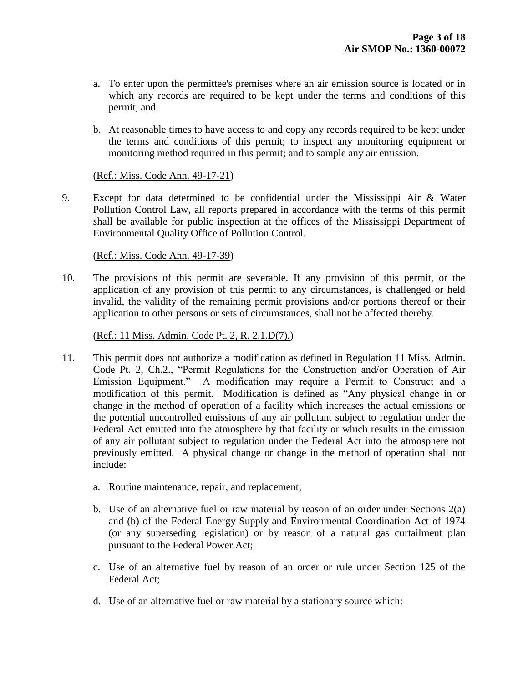- a. To enter upon the permittee's premises where an air emission source is located or in which any records are required to be kept under the terms and conditions of this permit, and
- b. At reasonable times to have access to and copy any records required to be kept under the terms and conditions of this permit; to inspect any monitoring equipment or monitoring method required in this permit; and to sample any air emission.

#### (Ref.: Miss. Code Ann. 49-17-21)

9. Except for data determined to be confidential under the Mississippi Air & Water Pollution Control Law, all reports prepared in accordance with the terms of this permit shall be available for public inspection at the offices of the Mississippi Department of Environmental Quality Office of Pollution Control.

## (Ref.: Miss. Code Ann. 49-17-39)

10. The provisions of this permit are severable. If any provision of this permit, or the application of any provision of this permit to any circumstances, is challenged or held invalid, the validity of the remaining permit provisions and/or portions thereof or their application to other persons or sets of circumstances, shall not be affected thereby.

## (Ref.: 11 Miss. Admin. Code Pt. 2, R. 2.1.D(7).)

- 11. This permit does not authorize a modification as defined in Regulation 11 Miss. Admin. Code Pt. 2, Ch.2., "Permit Regulations for the Construction and/or Operation of Air Emission Equipment." A modification may require a Permit to Construct and a modification of this permit. Modification is defined as "Any physical change in or change in the method of operation of a facility which increases the actual emissions or the potential uncontrolled emissions of any air pollutant subject to regulation under the Federal Act emitted into the atmosphere by that facility or which results in the emission of any air pollutant subject to regulation under the Federal Act into the atmosphere not previously emitted. A physical change or change in the method of operation shall not include:
	- a. Routine maintenance, repair, and replacement;
	- b. Use of an alternative fuel or raw material by reason of an order under Sections 2(a) and (b) of the Federal Energy Supply and Environmental Coordination Act of 1974 (or any superseding legislation) or by reason of a natural gas curtailment plan pursuant to the Federal Power Act;
	- c. Use of an alternative fuel by reason of an order or rule under Section 125 of the Federal Act;
	- d. Use of an alternative fuel or raw material by a stationary source which: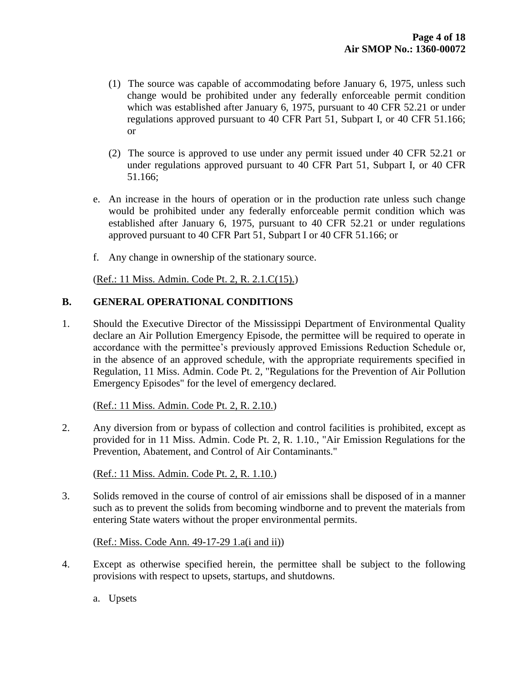- (1) The source was capable of accommodating before January 6, 1975, unless such change would be prohibited under any federally enforceable permit condition which was established after January 6, 1975, pursuant to 40 CFR 52.21 or under regulations approved pursuant to 40 CFR Part 51, Subpart I, or 40 CFR 51.166; or
- (2) The source is approved to use under any permit issued under 40 CFR 52.21 or under regulations approved pursuant to 40 CFR Part 51, Subpart I, or 40 CFR 51.166;
- e. An increase in the hours of operation or in the production rate unless such change would be prohibited under any federally enforceable permit condition which was established after January 6, 1975, pursuant to 40 CFR 52.21 or under regulations approved pursuant to 40 CFR Part 51, Subpart I or 40 CFR 51.166; or
- f. Any change in ownership of the stationary source.

(Ref.: 11 Miss. Admin. Code Pt. 2, R. 2.1.C(15).)

## **B. GENERAL OPERATIONAL CONDITIONS**

1. Should the Executive Director of the Mississippi Department of Environmental Quality declare an Air Pollution Emergency Episode, the permittee will be required to operate in accordance with the permittee's previously approved Emissions Reduction Schedule or, in the absence of an approved schedule, with the appropriate requirements specified in Regulation, 11 Miss. Admin. Code Pt. 2, "Regulations for the Prevention of Air Pollution Emergency Episodes" for the level of emergency declared.

#### (Ref.: 11 Miss. Admin. Code Pt. 2, R. 2.10.)

2. Any diversion from or bypass of collection and control facilities is prohibited, except as provided for in 11 Miss. Admin. Code Pt. 2, R. 1.10., "Air Emission Regulations for the Prevention, Abatement, and Control of Air Contaminants."

(Ref.: 11 Miss. Admin. Code Pt. 2, R. 1.10.)

3. Solids removed in the course of control of air emissions shall be disposed of in a manner such as to prevent the solids from becoming windborne and to prevent the materials from entering State waters without the proper environmental permits.

(Ref.: Miss. Code Ann. 49-17-29 1.a(i and ii))

- 4. Except as otherwise specified herein, the permittee shall be subject to the following provisions with respect to upsets, startups, and shutdowns.
	- a. Upsets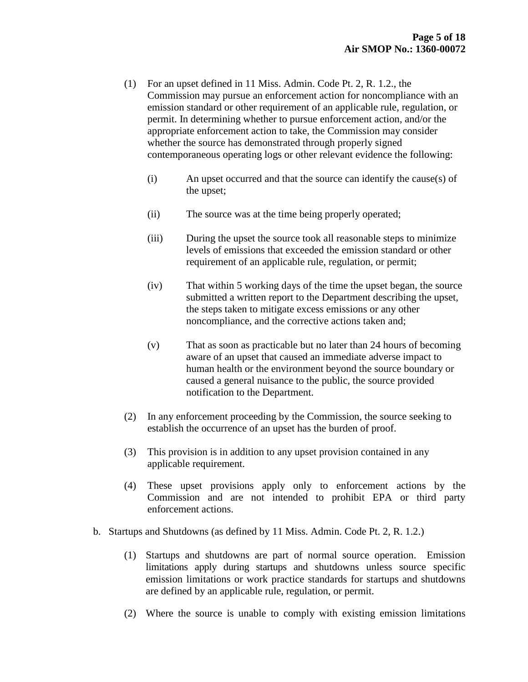- (1) For an upset defined in 11 Miss. Admin. Code Pt. 2, R. 1.2., the Commission may pursue an enforcement action for noncompliance with an emission standard or other requirement of an applicable rule, regulation, or permit. In determining whether to pursue enforcement action, and/or the appropriate enforcement action to take, the Commission may consider whether the source has demonstrated through properly signed contemporaneous operating logs or other relevant evidence the following:
	- (i) An upset occurred and that the source can identify the cause(s) of the upset;
	- (ii) The source was at the time being properly operated;
	- (iii) During the upset the source took all reasonable steps to minimize levels of emissions that exceeded the emission standard or other requirement of an applicable rule, regulation, or permit;
	- (iv) That within 5 working days of the time the upset began, the source submitted a written report to the Department describing the upset, the steps taken to mitigate excess emissions or any other noncompliance, and the corrective actions taken and;
	- (v) That as soon as practicable but no later than 24 hours of becoming aware of an upset that caused an immediate adverse impact to human health or the environment beyond the source boundary or caused a general nuisance to the public, the source provided notification to the Department.
- (2) In any enforcement proceeding by the Commission, the source seeking to establish the occurrence of an upset has the burden of proof.
- (3) This provision is in addition to any upset provision contained in any applicable requirement.
- (4) These upset provisions apply only to enforcement actions by the Commission and are not intended to prohibit EPA or third party enforcement actions.
- b. Startups and Shutdowns (as defined by 11 Miss. Admin. Code Pt. 2, R. 1.2.)
	- (1) Startups and shutdowns are part of normal source operation. Emission limitations apply during startups and shutdowns unless source specific emission limitations or work practice standards for startups and shutdowns are defined by an applicable rule, regulation, or permit.
	- (2) Where the source is unable to comply with existing emission limitations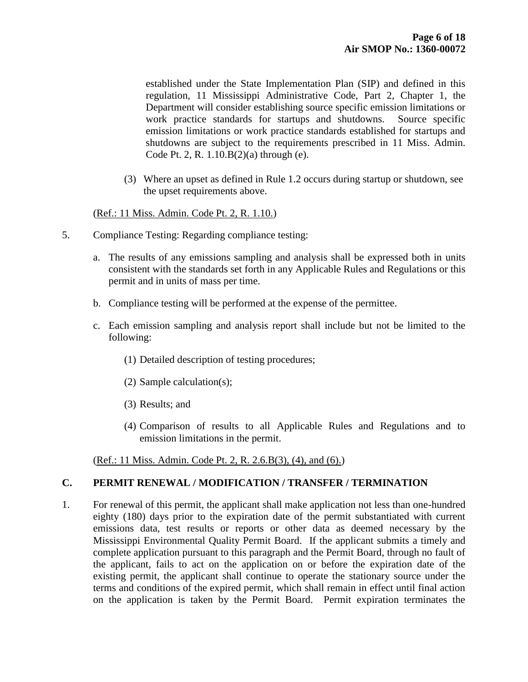established under the State Implementation Plan (SIP) and defined in this regulation, 11 Mississippi Administrative Code, Part 2, Chapter 1, the Department will consider establishing source specific emission limitations or work practice standards for startups and shutdowns. Source specific emission limitations or work practice standards established for startups and shutdowns are subject to the requirements prescribed in 11 Miss. Admin. Code Pt. 2, R. 1.10.B(2)(a) through (e).

(3) Where an upset as defined in Rule 1.2 occurs during startup or shutdown, see the upset requirements above.

## (Ref.: 11 Miss. Admin. Code Pt. 2, R. 1.10.)

- 5. Compliance Testing: Regarding compliance testing:
	- a. The results of any emissions sampling and analysis shall be expressed both in units consistent with the standards set forth in any Applicable Rules and Regulations or this permit and in units of mass per time.
	- b. Compliance testing will be performed at the expense of the permittee.
	- c. Each emission sampling and analysis report shall include but not be limited to the following:
		- (1) Detailed description of testing procedures;
		- (2) Sample calculation(s);
		- (3) Results; and
		- (4) Comparison of results to all Applicable Rules and Regulations and to emission limitations in the permit.

(Ref.: 11 Miss. Admin. Code Pt. 2, R. 2.6.B(3), (4), and (6).)

#### **C. PERMIT RENEWAL / MODIFICATION / TRANSFER / TERMINATION**

1. For renewal of this permit, the applicant shall make application not less than one-hundred eighty (180) days prior to the expiration date of the permit substantiated with current emissions data, test results or reports or other data as deemed necessary by the Mississippi Environmental Quality Permit Board. If the applicant submits a timely and complete application pursuant to this paragraph and the Permit Board, through no fault of the applicant, fails to act on the application on or before the expiration date of the existing permit, the applicant shall continue to operate the stationary source under the terms and conditions of the expired permit, which shall remain in effect until final action on the application is taken by the Permit Board. Permit expiration terminates the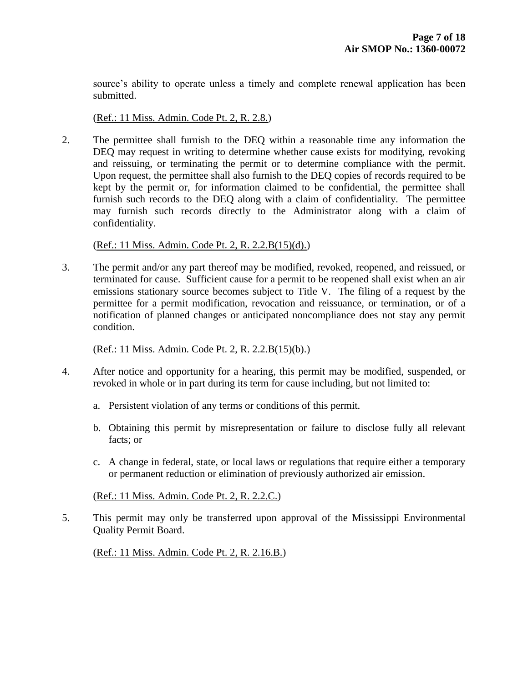source's ability to operate unless a timely and complete renewal application has been submitted.

(Ref.: 11 Miss. Admin. Code Pt. 2, R. 2.8.)

2. The permittee shall furnish to the DEQ within a reasonable time any information the DEQ may request in writing to determine whether cause exists for modifying, revoking and reissuing, or terminating the permit or to determine compliance with the permit. Upon request, the permittee shall also furnish to the DEQ copies of records required to be kept by the permit or, for information claimed to be confidential, the permittee shall furnish such records to the DEQ along with a claim of confidentiality. The permittee may furnish such records directly to the Administrator along with a claim of confidentiality.

(Ref.: 11 Miss. Admin. Code Pt. 2, R. 2.2.B(15)(d).)

3. The permit and/or any part thereof may be modified, revoked, reopened, and reissued, or terminated for cause. Sufficient cause for a permit to be reopened shall exist when an air emissions stationary source becomes subject to Title V. The filing of a request by the permittee for a permit modification, revocation and reissuance, or termination, or of a notification of planned changes or anticipated noncompliance does not stay any permit condition.

#### (Ref.: 11 Miss. Admin. Code Pt. 2, R. 2.2.B(15)(b).)

- 4. After notice and opportunity for a hearing, this permit may be modified, suspended, or revoked in whole or in part during its term for cause including, but not limited to:
	- a. Persistent violation of any terms or conditions of this permit.
	- b. Obtaining this permit by misrepresentation or failure to disclose fully all relevant facts; or
	- c. A change in federal, state, or local laws or regulations that require either a temporary or permanent reduction or elimination of previously authorized air emission.

(Ref.: 11 Miss. Admin. Code Pt. 2, R. 2.2.C.)

5. This permit may only be transferred upon approval of the Mississippi Environmental Quality Permit Board.

(Ref.: 11 Miss. Admin. Code Pt. 2, R. 2.16.B.)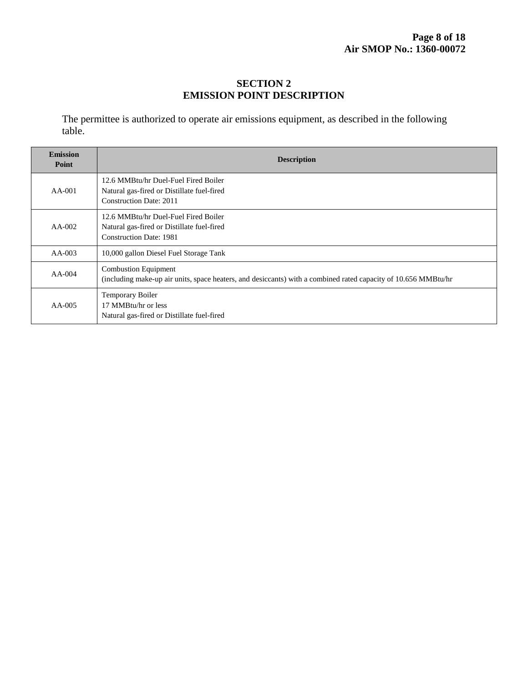# **SECTION 2 EMISSION POINT DESCRIPTION**

The permittee is authorized to operate air emissions equipment, as described in the following table.

| <b>Emission</b><br>Point | <b>Description</b>                                                                                                                            |
|--------------------------|-----------------------------------------------------------------------------------------------------------------------------------------------|
| AA-001                   | 12.6 MMBtu/hr Duel-Fuel Fired Boiler<br>Natural gas-fired or Distillate fuel-fired<br><b>Construction Date: 2011</b>                          |
| $AA-002$                 | 12.6 MMBtu/hr Duel-Fuel Fired Boiler<br>Natural gas-fired or Distillate fuel-fired<br><b>Construction Date: 1981</b>                          |
| $AA-003$                 | 10,000 gallon Diesel Fuel Storage Tank                                                                                                        |
| $AA-004$                 | <b>Combustion Equipment</b><br>(including make-up air units, space heaters, and desiccants) with a combined rated capacity of 10.656 MMBtu/hr |
| $AA-005$                 | Temporary Boiler<br>17 MMBtu/hr or less<br>Natural gas-fired or Distillate fuel-fired                                                         |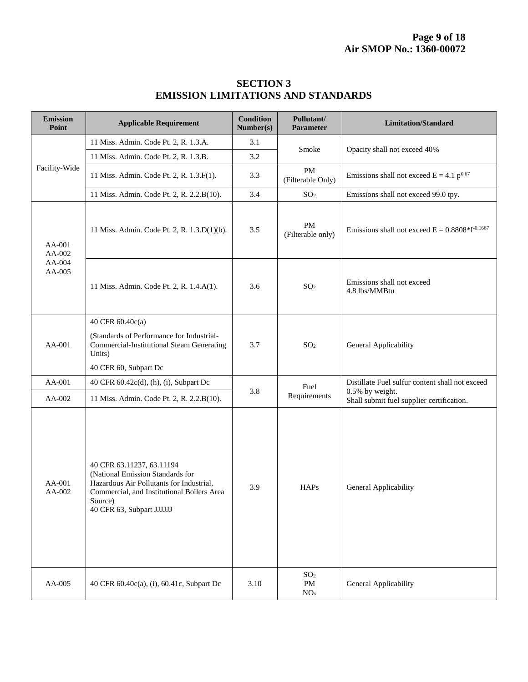| <b>Emission</b><br>Point             | <b>Applicable Requirement</b>                                                                                                                                                                   | <b>Condition</b><br>Number(s) | Pollutant/<br>Parameter                             | <b>Limitation/Standard</b>                                   |
|--------------------------------------|-------------------------------------------------------------------------------------------------------------------------------------------------------------------------------------------------|-------------------------------|-----------------------------------------------------|--------------------------------------------------------------|
| Facility-Wide                        | 11 Miss. Admin. Code Pt. 2, R. 1.3.A.                                                                                                                                                           | 3.1                           | Smoke                                               | Opacity shall not exceed 40%                                 |
|                                      | 11 Miss. Admin. Code Pt. 2, R. 1.3.B.                                                                                                                                                           | 3.2                           |                                                     |                                                              |
|                                      | 11 Miss. Admin. Code Pt. 2, R. 1.3.F(1).                                                                                                                                                        | 3.3                           | PM<br>(Filterable Only)                             | Emissions shall not exceed $E = 4.1 p^{0.67}$                |
|                                      | 11 Miss. Admin. Code Pt. 2, R. 2.2.B(10).                                                                                                                                                       | 3.4                           | SO <sub>2</sub>                                     | Emissions shall not exceed 99.0 tpy.                         |
| AA-001<br>AA-002<br>AA-004<br>AA-005 | 11 Miss. Admin. Code Pt. 2, R. 1.3.D(1)(b).                                                                                                                                                     | 3.5                           | PM<br>(Filterable only)                             | Emissions shall not exceed $E = 0.8808 * I^{-0.1667}$        |
|                                      | 11 Miss. Admin. Code Pt. 2, R. 1.4.A(1).                                                                                                                                                        | 3.6                           | SO <sub>2</sub>                                     | Emissions shall not exceed<br>4.8 lbs/MMBtu                  |
|                                      | 40 CFR 60.40c(a)                                                                                                                                                                                | 3.7                           | SO <sub>2</sub>                                     | General Applicability                                        |
| AA-001                               | (Standards of Performance for Industrial-<br><b>Commercial-Institutional Steam Generating</b><br>Units)                                                                                         |                               |                                                     |                                                              |
|                                      | 40 CFR 60, Subpart Dc                                                                                                                                                                           |                               |                                                     |                                                              |
| AA-001                               | 40 CFR 60.42c(d), (h), (i), Subpart Dc                                                                                                                                                          |                               | Fuel                                                | Distillate Fuel sulfur content shall not exceed              |
| AA-002                               | 11 Miss. Admin. Code Pt. 2, R. 2.2.B(10).                                                                                                                                                       | 3.8                           | Requirements                                        | 0.5% by weight.<br>Shall submit fuel supplier certification. |
| AA-001<br>AA-002                     | 40 CFR 63.11237, 63.11194<br>(National Emission Standards for<br>Hazardous Air Pollutants for Industrial,<br>Commercial, and Institutional Boilers Area<br>Source)<br>40 CFR 63, Subpart JJJJJJ | 3.9                           | <b>HAPs</b>                                         | General Applicability                                        |
| AA-005                               | 40 CFR 60.40c(a), (i), 60.41c, Subpart Dc                                                                                                                                                       | 3.10                          | SO <sub>2</sub><br>$\mathbf{PM}$<br>NO <sub>x</sub> | General Applicability                                        |

# **SECTION 3 EMISSION LIMITATIONS AND STANDARDS**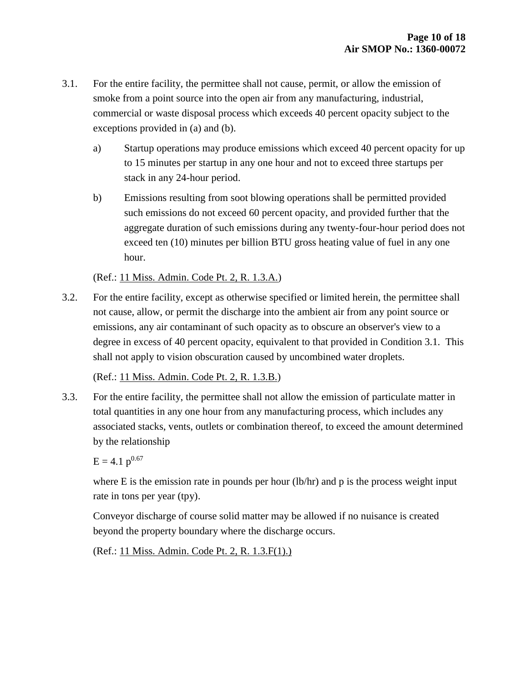- 3.1. For the entire facility, the permittee shall not cause, permit, or allow the emission of smoke from a point source into the open air from any manufacturing, industrial, commercial or waste disposal process which exceeds 40 percent opacity subject to the exceptions provided in (a) and (b).
	- a) Startup operations may produce emissions which exceed 40 percent opacity for up to 15 minutes per startup in any one hour and not to exceed three startups per stack in any 24-hour period.
	- b) Emissions resulting from soot blowing operations shall be permitted provided such emissions do not exceed 60 percent opacity, and provided further that the aggregate duration of such emissions during any twenty-four-hour period does not exceed ten (10) minutes per billion BTU gross heating value of fuel in any one hour.

(Ref.: 11 Miss. Admin. Code Pt. 2, R. 1.3.A.)

3.2. For the entire facility, except as otherwise specified or limited herein, the permittee shall not cause, allow, or permit the discharge into the ambient air from any point source or emissions, any air contaminant of such opacity as to obscure an observer's view to a degree in excess of 40 percent opacity, equivalent to that provided in Condition 3.1. This shall not apply to vision obscuration caused by uncombined water droplets.

(Ref.: 11 Miss. Admin. Code Pt. 2, R. 1.3.B.)

3.3. For the entire facility, the permittee shall not allow the emission of particulate matter in total quantities in any one hour from any manufacturing process, which includes any associated stacks, vents, outlets or combination thereof, to exceed the amount determined by the relationship

 $E = 4.1 p^{0.67}$ 

where E is the emission rate in pounds per hour (lb/hr) and p is the process weight input rate in tons per year (tpy).

Conveyor discharge of course solid matter may be allowed if no nuisance is created beyond the property boundary where the discharge occurs.

(Ref.: 11 Miss. Admin. Code Pt. 2, R. 1.3.F(1).)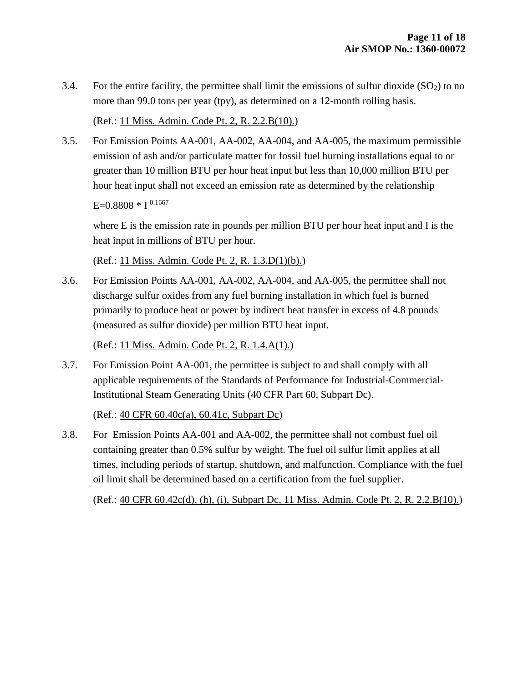3.4. For the entire facility, the permittee shall limit the emissions of sulfur dioxide  $(SO<sub>2</sub>)$  to no more than 99.0 tons per year (tpy), as determined on a 12-month rolling basis.

(Ref.: 11 Miss. Admin. Code Pt. 2, R. 2.2.B(10).)

3.5. For Emission Points AA-001, AA-002, AA-004, and AA-005, the maximum permissible emission of ash and/or particulate matter for fossil fuel burning installations equal to or greater than 10 million BTU per hour heat input but less than 10,000 million BTU per hour heat input shall not exceed an emission rate as determined by the relationship

 $E=0.8808 * I^{-0.1667}$ 

where E is the emission rate in pounds per million BTU per hour heat input and I is the heat input in millions of BTU per hour.

(Ref.: 11 Miss. Admin. Code Pt. 2, R. 1.3.D(1)(b).)

3.6. For Emission Points AA-001, AA-002, AA-004, and AA-005, the permittee shall not discharge sulfur oxides from any fuel burning installation in which fuel is burned primarily to produce heat or power by indirect heat transfer in excess of 4.8 pounds (measured as sulfur dioxide) per million BTU heat input.

(Ref.: 11 Miss. Admin. Code Pt. 2, R. 1.4.A(1).)

3.7. For Emission Point AA-001, the permittee is subject to and shall comply with all applicable requirements of the Standards of Performance for Industrial-Commercial-Institutional Steam Generating Units (40 CFR Part 60, Subpart Dc).

(Ref.: 40 CFR 60.40c(a), 60.41c, Subpart Dc)

3.8. For Emission Points AA-001 and AA-002, the permittee shall not combust fuel oil containing greater than 0.5% sulfur by weight. The fuel oil sulfur limit applies at all times, including periods of startup, shutdown, and malfunction. Compliance with the fuel oil limit shall be determined based on a certification from the fuel supplier.

(Ref.: 40 CFR 60.42c(d), (h), (i), Subpart Dc, 11 Miss. Admin. Code Pt. 2, R. 2.2.B(10).)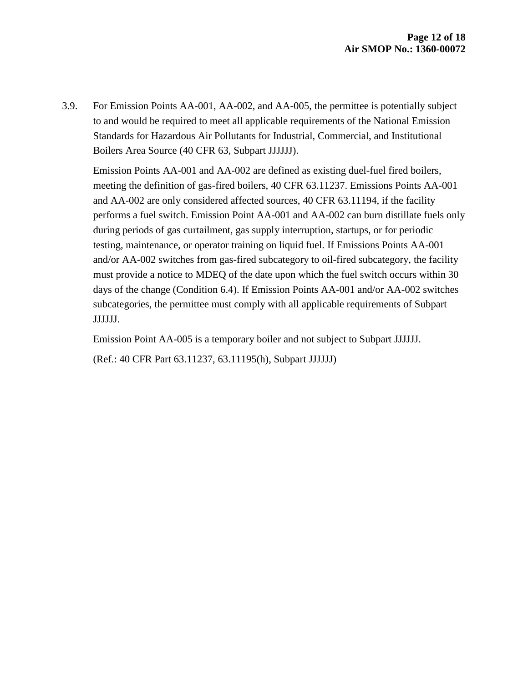3.9. For Emission Points AA-001, AA-002, and AA-005, the permittee is potentially subject to and would be required to meet all applicable requirements of the National Emission Standards for Hazardous Air Pollutants for Industrial, Commercial, and Institutional Boilers Area Source (40 CFR 63, Subpart JJJJJJ).

Emission Points AA-001 and AA-002 are defined as existing duel-fuel fired boilers, meeting the definition of gas-fired boilers, 40 CFR 63.11237. Emissions Points AA-001 and AA-002 are only considered affected sources, 40 CFR 63.11194, if the facility performs a fuel switch. Emission Point AA-001 and AA-002 can burn distillate fuels only during periods of gas curtailment, gas supply interruption, startups, or for periodic testing, maintenance, or operator training on liquid fuel. If Emissions Points AA-001 and/or AA-002 switches from gas-fired subcategory to oil-fired subcategory, the facility must provide a notice to MDEQ of the date upon which the fuel switch occurs within 30 days of the change (Condition 6.4). If Emission Points AA-001 and/or AA-002 switches subcategories, the permittee must comply with all applicable requirements of Subpart JJJJJJ.

Emission Point AA-005 is a temporary boiler and not subject to Subpart JJJJJJ.

(Ref.: 40 CFR Part 63.11237, 63.11195(h), Subpart JJJJJJ)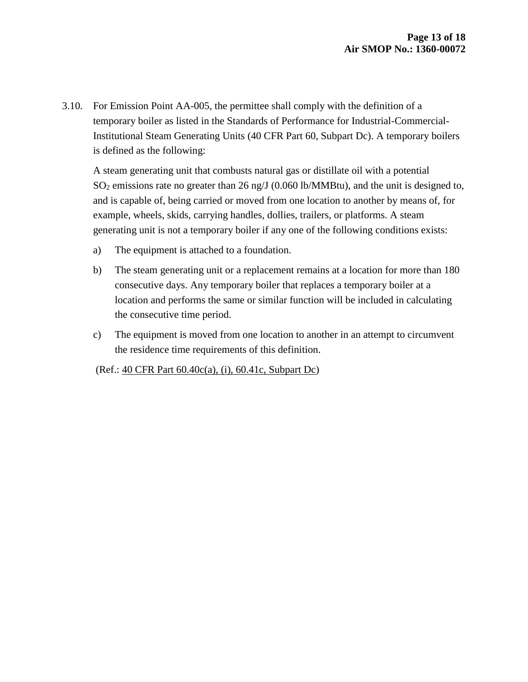3.10. For Emission Point AA-005, the permittee shall comply with the definition of a temporary boiler as listed in the Standards of Performance for Industrial-Commercial-Institutional Steam Generating Units (40 CFR Part 60, Subpart Dc). A temporary boilers is defined as the following:

A steam generating unit that combusts natural gas or distillate oil with a potential  $SO<sub>2</sub>$  emissions rate no greater than 26 ng/J (0.060 lb/MMBtu), and the unit is designed to, and is capable of, being carried or moved from one location to another by means of, for example, wheels, skids, carrying handles, dollies, trailers, or platforms. A steam generating unit is not a temporary boiler if any one of the following conditions exists:

- a) The equipment is attached to a foundation.
- b) The steam generating unit or a replacement remains at a location for more than 180 consecutive days. Any temporary boiler that replaces a temporary boiler at a location and performs the same or similar function will be included in calculating the consecutive time period.
- c) The equipment is moved from one location to another in an attempt to circumvent the residence time requirements of this definition.

(Ref.: 40 CFR Part 60.40c(a), (i), 60.41c, Subpart Dc)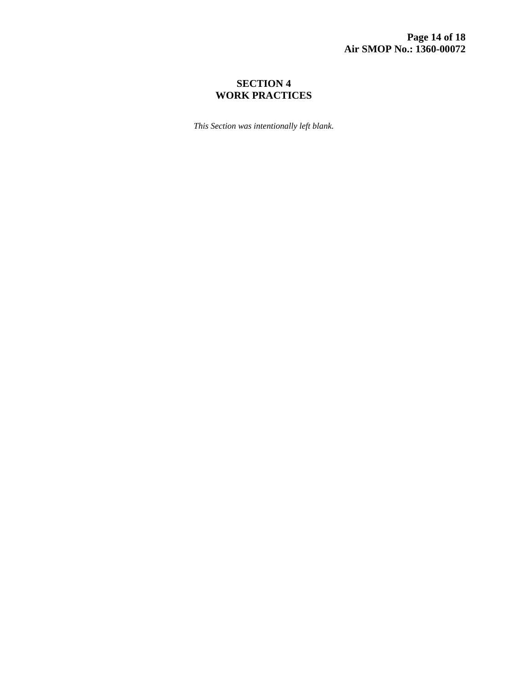# **SECTION 4 WORK PRACTICES**

*This Section was intentionally left blank.*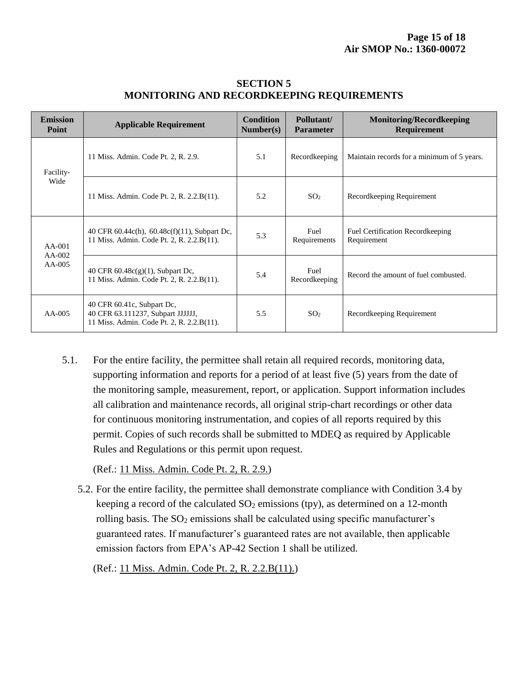| <b>Emission</b><br>Point         | <b>Applicable Requirement</b>                                                                                | <b>Condition</b><br>Number(s) | Pollutant/<br><b>Parameter</b> | <b>Monitoring/Recordkeeping</b><br>Requirement          |
|----------------------------------|--------------------------------------------------------------------------------------------------------------|-------------------------------|--------------------------------|---------------------------------------------------------|
| Facility-<br>Wide                | 11 Miss. Admin. Code Pt. 2, R. 2.9.                                                                          | 5.1                           | Recordkeeping                  | Maintain records for a minimum of 5 years.              |
|                                  | 11 Miss. Admin. Code Pt. 2, R. 2.2.B(11).                                                                    | 5.2                           | SO <sub>2</sub>                | Recordkeeping Requirement                               |
| $AA-001$<br>$AA-002$<br>$AA-005$ | 40 CFR $60.44c(h)$ , $60.48c(f)(11)$ , Subpart Dc,<br>11 Miss. Admin. Code Pt. 2, R. 2.2.B(11).              | 5.3                           | Fuel<br>Requirements           | <b>Fuel Certification Record keeping</b><br>Requirement |
|                                  | 40 CFR $60.48c(g)(1)$ , Subpart Dc,<br>11 Miss. Admin. Code Pt. 2, R. 2.2.B(11).                             | 5.4                           | Fuel<br>Recordkeeping          | Record the amount of fuel combusted.                    |
| $AA-005$                         | 40 CFR 60.41c, Subpart Dc,<br>40 CFR 63.111237, Subpart JJJJJJ,<br>11 Miss. Admin. Code Pt. 2, R. 2.2.B(11). | 5.5                           | SO <sub>2</sub>                | Recordkeeping Requirement                               |

## **SECTION 5 MONITORING AND RECORDKEEPING REQUIREMENTS**

5.1. For the entire facility, the permittee shall retain all required records, monitoring data, supporting information and reports for a period of at least five (5) years from the date of the monitoring sample, measurement, report, or application. Support information includes all calibration and maintenance records, all original strip-chart recordings or other data for continuous monitoring instrumentation, and copies of all reports required by this permit. Copies of such records shall be submitted to MDEQ as required by Applicable Rules and Regulations or this permit upon request.

(Ref.: 11 Miss. Admin. Code Pt. 2, R. 2.9.)

5.2. For the entire facility, the permittee shall demonstrate compliance with Condition 3.4 by keeping a record of the calculated  $SO_2$  emissions (tpy), as determined on a 12-month rolling basis. The SO<sub>2</sub> emissions shall be calculated using specific manufacturer's guaranteed rates. If manufacturer's guaranteed rates are not available, then applicable emission factors from EPA's AP-42 Section 1 shall be utilized.

(Ref.: 11 Miss. Admin. Code Pt. 2, R. 2.2.B(11).)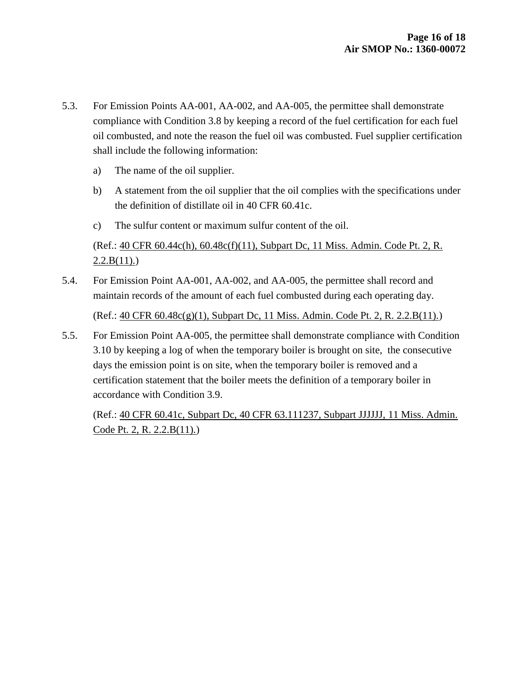- 5.3. For Emission Points AA-001, AA-002, and AA-005, the permittee shall demonstrate compliance with Condition 3.8 by keeping a record of the fuel certification for each fuel oil combusted, and note the reason the fuel oil was combusted. Fuel supplier certification shall include the following information:
	- a) The name of the oil supplier.
	- b) A statement from the oil supplier that the oil complies with the specifications under the definition of distillate oil in 40 CFR 60.41c.
	- c) The sulfur content or maximum sulfur content of the oil.

(Ref.: 40 CFR 60.44c(h), 60.48c(f)(11), Subpart Dc, 11 Miss. Admin. Code Pt. 2, R.  $2.2.B(11).$ 

5.4. For Emission Point AA-001, AA-002, and AA-005, the permittee shall record and maintain records of the amount of each fuel combusted during each operating day.

(Ref.: 40 CFR 60.48c(g)(1), Subpart Dc, 11 Miss. Admin. Code Pt. 2, R. 2.2.B(11).)

5.5. For Emission Point AA-005, the permittee shall demonstrate compliance with Condition 3.10 by keeping a log of when the temporary boiler is brought on site, the consecutive days the emission point is on site, when the temporary boiler is removed and a certification statement that the boiler meets the definition of a temporary boiler in accordance with Condition 3.9.

(Ref.: 40 CFR 60.41c, Subpart Dc, 40 CFR 63.111237, Subpart JJJJJJ, 11 Miss. Admin. Code Pt. 2, R. 2.2.B(11).)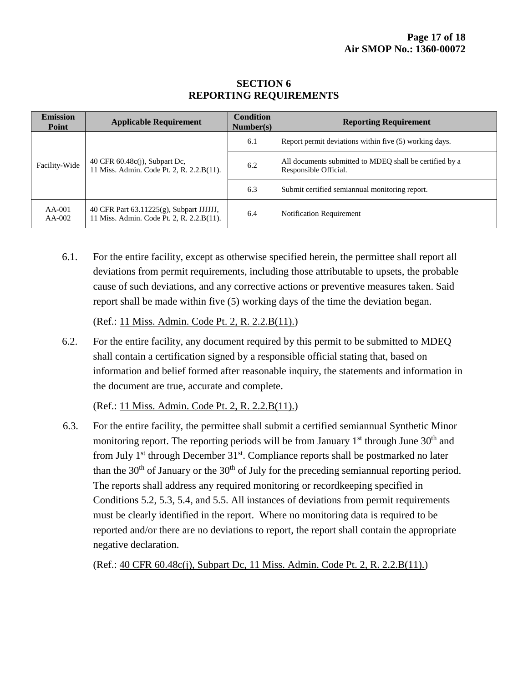| <b>Emission</b><br>Point | <b>Applicable Requirement</b>                                                         | <b>Condition</b><br>Number(s) | <b>Reporting Requirement</b>                                                     |  |
|--------------------------|---------------------------------------------------------------------------------------|-------------------------------|----------------------------------------------------------------------------------|--|
| Facility-Wide            | 40 CFR 60.48c(j), Subpart Dc,<br>11 Miss. Admin. Code Pt. 2, R. 2.2.B(11).            | 6.1                           | Report permit deviations within five (5) working days.                           |  |
|                          |                                                                                       | 6.2                           | All documents submitted to MDEO shall be certified by a<br>Responsible Official. |  |
|                          |                                                                                       | 6.3                           | Submit certified semiannual monitoring report.                                   |  |
| $AA-001$<br>$AA-002$     | 40 CFR Part 63.11225(g), Subpart JJJJJJ,<br>11 Miss. Admin. Code Pt. 2, R. 2.2.B(11). | 6.4                           | <b>Notification Requirement</b>                                                  |  |

# **SECTION 6 REPORTING REQUIREMENTS**

6.1. For the entire facility, except as otherwise specified herein, the permittee shall report all deviations from permit requirements, including those attributable to upsets, the probable cause of such deviations, and any corrective actions or preventive measures taken. Said report shall be made within five (5) working days of the time the deviation began.

(Ref.: 11 Miss. Admin. Code Pt. 2, R. 2.2.B(11).)

6.2. For the entire facility, any document required by this permit to be submitted to MDEQ shall contain a certification signed by a responsible official stating that, based on information and belief formed after reasonable inquiry, the statements and information in the document are true, accurate and complete.

(Ref.: 11 Miss. Admin. Code Pt. 2, R. 2.2.B(11).)

6.3. For the entire facility, the permittee shall submit a certified semiannual Synthetic Minor monitoring report. The reporting periods will be from January  $1<sup>st</sup>$  through June  $30<sup>th</sup>$  and from July  $1<sup>st</sup>$  through December  $31<sup>st</sup>$ . Compliance reports shall be postmarked no later than the  $30<sup>th</sup>$  of January or the  $30<sup>th</sup>$  of July for the preceding semiannual reporting period. The reports shall address any required monitoring or recordkeeping specified in Conditions 5.2, 5.3, 5.4, and 5.5. All instances of deviations from permit requirements must be clearly identified in the report. Where no monitoring data is required to be reported and/or there are no deviations to report, the report shall contain the appropriate negative declaration.

(Ref.: 40 CFR 60.48c(j), Subpart Dc, 11 Miss. Admin. Code Pt. 2, R. 2.2.B(11).)